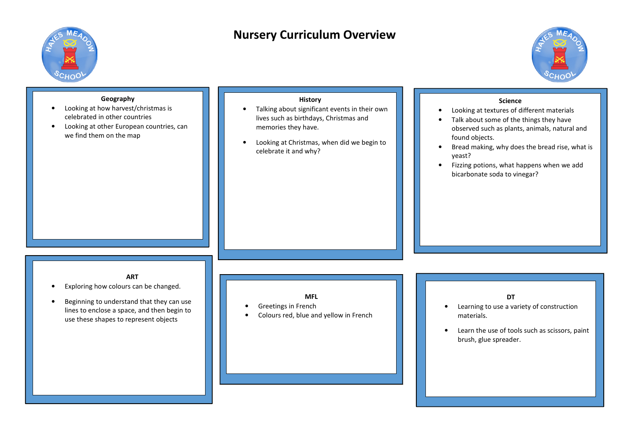

# **Nursery Curriculum Overview**



| Geography<br>Looking at how harvest/christmas is<br>celebrated in other countries<br>Looking at other European countries, can<br>we find them on the map                                 | <b>History</b><br>Talking about significant events in their own<br>lives such as birthdays, Christmas and<br>memories they have.<br>Looking at Christmas, when did we begin to<br>celebrate it and why? | <b>Science</b><br>Looking at textures of different materials<br>Talk about some of the things they have<br>observed such as plants, animals, natural and<br>found objects.<br>Bread making, why does the bread rise, what is<br>yeast?<br>Fizzing potions, what happens when we add<br>$\bullet$<br>bicarbonate soda to vinegar? |
|------------------------------------------------------------------------------------------------------------------------------------------------------------------------------------------|---------------------------------------------------------------------------------------------------------------------------------------------------------------------------------------------------------|----------------------------------------------------------------------------------------------------------------------------------------------------------------------------------------------------------------------------------------------------------------------------------------------------------------------------------|
| <b>ART</b><br>Exploring how colours can be changed.<br>Beginning to understand that they can use<br>lines to enclose a space, and then begin to<br>use these shapes to represent objects | <b>MFL</b><br>Greetings in French<br>Colours red, blue and yellow in French                                                                                                                             | <b>DT</b><br>Learning to use a variety of construction<br>materials.<br>Learn the use of tools such as scissors, paint<br>$\bullet$<br>brush, glue spreader.                                                                                                                                                                     |